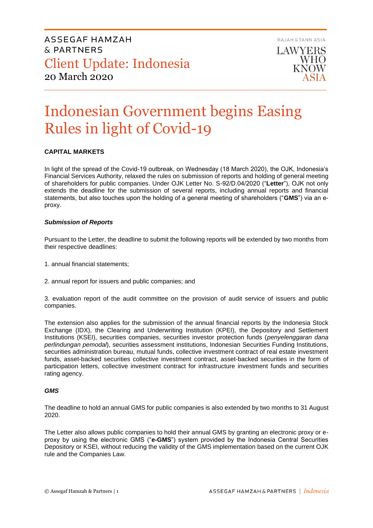LAWYERS **WHO KNOW** 

RAJAH & TANN ASIA

# Indonesian Government begins Easing Rules in light of Covid-19

## **CAPITAL MARKETS**

In light of the spread of the Covid-19 outbreak, on Wednesday (18 March 2020), the OJK, Indonesia's Financial Services Authority, relaxed the rules on submission of reports and holding of general meeting of shareholders for public companies. Under OJK Letter No. S-92/D.04/2020 ("**Letter**"), OJK not only extends the deadline for the submission of several reports, including annual reports and financial statements, but also touches upon the holding of a general meeting of shareholders ("**GMS**") via an eproxy.

### *Submission of Reports*

Pursuant to the Letter, the deadline to submit the following reports will be extended by two months from their respective deadlines:

- 1. annual financial statements;
- 2. annual report for issuers and public companies; and

3. evaluation report of the audit committee on the provision of audit service of issuers and public companies.

The extension also applies for the submission of the annual financial reports by the Indonesia Stock Exchange (IDX), the Clearing and Underwriting Institution (KPEI), the Depository and Settlement Institutions (KSEI), securities companies, securities investor protection funds (*penyelenggaran dana perlindungan pemodal*), securities assessment institutions, Indonesian Securities Funding Institutions, securities administration bureau, mutual funds, collective investment contract of real estate investment funds, asset-backed securities collective investment contract, asset-backed securities in the form of participation letters, collective investment contract for infrastructure investment funds and securities rating agency.

### *GMS*

The deadline to hold an annual GMS for public companies is also extended by two months to 31 August 2020.

The Letter also allows public companies to hold their annual GMS by granting an electronic proxy or eproxy by using the electronic GMS ("**e-GMS**") system provided by the Indonesia Central Securities Depository or KSEI, without reducing the validity of the GMS implementation based on the current OJK rule and the Companies Law.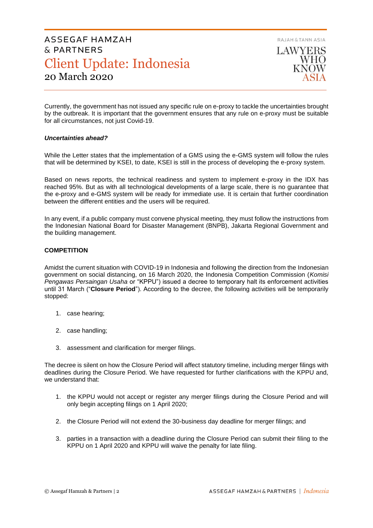LAWYERS **WHO KNOW** 

RAJAH & TANN ASIA

Currently, the government has not issued any specific rule on e-proxy to tackle the uncertainties brought by the outbreak. It is important that the government ensures that any rule on e-proxy must be suitable for all circumstances, not just Covid-19.

### *Uncertainties ahead?*

While the Letter states that the implementation of a GMS using the e-GMS system will follow the rules that will be determined by KSEI, to date, KSEI is still in the process of developing the e-proxy system.

Based on news reports, the technical readiness and system to implement e-proxy in the IDX has reached 95%. But as with all technological developments of a large scale, there is no guarantee that the e-proxy and e-GMS system will be ready for immediate use. It is certain that further coordination between the different entities and the users will be required.

In any event, if a public company must convene physical meeting, they must follow the instructions from the Indonesian National Board for Disaster Management (BNPB), Jakarta Regional Government and the building management.

### **COMPETITION**

Amidst the current situation with COVID-19 in Indonesia and following the direction from the Indonesian government on social distancing, on 16 March 2020, the Indonesia Competition Commission (*Komisi Pengawas Persaingan Usaha* or "KPPU") issued a decree to temporary halt its enforcement activities until 31 March ("**Closure Period**"). According to the decree, the following activities will be temporarily stopped:

- 1. case hearing;
- 2. case handling;
- 3. assessment and clarification for merger filings.

The decree is silent on how the Closure Period will affect statutory timeline, including merger filings with deadlines during the Closure Period. We have requested for further clarifications with the KPPU and, we understand that:

- 1. the KPPU would not accept or register any merger filings during the Closure Period and will only begin accepting filings on 1 April 2020;
- 2. the Closure Period will not extend the 30-business day deadline for merger filings; and
- 3. parties in a transaction with a deadline during the Closure Period can submit their filing to the KPPU on 1 April 2020 and KPPU will waive the penalty for late filing.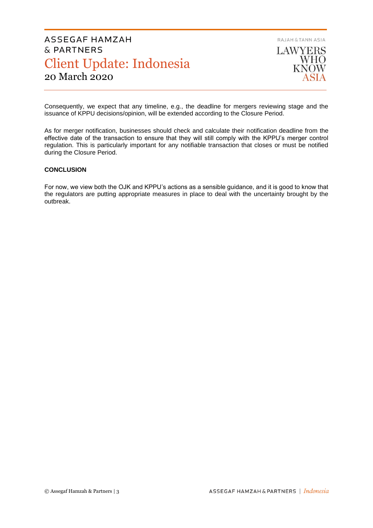

Consequently, we expect that any timeline, e.g., the deadline for mergers reviewing stage and the issuance of KPPU decisions/opinion, will be extended according to the Closure Period.

As for merger notification, businesses should check and calculate their notification deadline from the effective date of the transaction to ensure that they will still comply with the KPPU's merger control regulation. This is particularly important for any notifiable transaction that closes or must be notified during the Closure Period.

## **CONCLUSION**

For now, we view both the OJK and KPPU's actions as a sensible guidance, and it is good to know that the regulators are putting appropriate measures in place to deal with the uncertainty brought by the outbreak.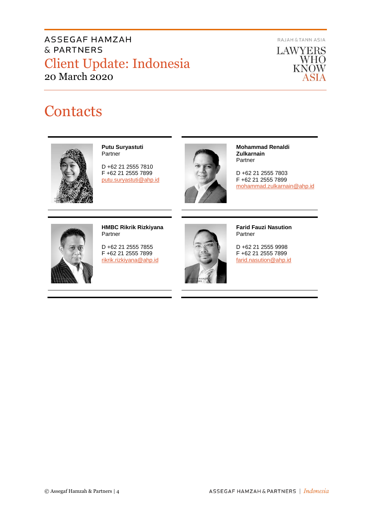RAJAH & TANN ASIA



# **Contacts**



**Putu Suryastuti** Partner

D +62 21 2555 7810 F +62 21 2555 7899 [putu.suryastuti@ahp.id](mailto:putu.suryastuti@ahp.id)



**Mohammad Renaldi Zulkarnain** Partner

D +62 21 2555 7803 F +62 21 2555 7899 [mohammad.zulkarnain@ahp.id](mailto:mohammad.zulkarnain@ahp.id)



**HMBC Rikrik Rizkiyana** Partner

D +62 21 2555 7855 F +62 21 2555 7899 [rikrik.rizkiyana@ahp.id](mailto:rikrik.rizkiyana@ahp.id)



**Farid Fauzi Nasution** Partner

D +62 21 2555 9998 F +62 21 2555 7899 [farid.nasution@ahp.id](mailto:farid.nasution@ahp.id)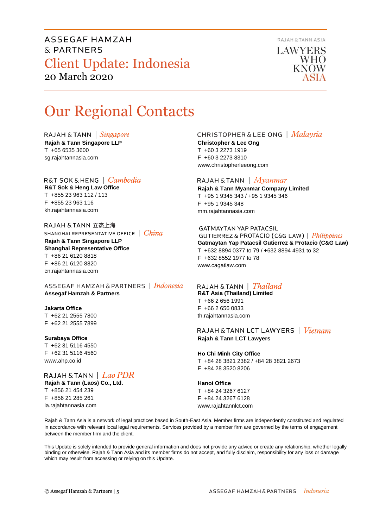

LAWYERS **WHO KNOW** 

# Our Regional Contacts

RAJAH & TANN  $\int$  *Singapore* 

**Rajah & Tann Singapore LLP** T +65 6535 3600 sg.rajahtannasia.com

# R&T SOK&HENG | *Cambodia*

**R&T Sok & Heng Law Office** T +855 23 963 112 / 113 F +855 23 963 116 kh.rajahtannasia.com

RAJAH & TANN 立杰上海 SHANGHAI REPRESENTATIVE OFFICE | China **Rajah & Tann Singapore LLP Shanghai Representative Office** T +86 21 6120 8818 F +86 21 6120 8820 cn.rajahtannasia.com

ASSEGAF HAMZAH & PARTNERS | Indonesia **Assegaf Hamzah & Partners**

## **Jakarta Office**

T +62 21 2555 7800 F +62 21 2555 7899

### **Surabaya Office**

T +62 31 5116 4550 F +62 31 5116 4560 www.ahp.co.id

RAJAH & TANN | Lao PDR **Rajah & Tann (Laos) Co., Ltd.** T +856 21 454 239 F +856 21 285 261 la.rajahtannasia.com

# **CHRISTOPHER & LEE ONG** | Malaysia

**Christopher & Lee Ong** T +60 3 2273 1919 F +60 3 2273 8310 www.christopherleeong.com

# RAJAH & TANN  $\mid$  *Myanmar*

**Rajah & Tann Myanmar Company Limited** T +95 1 9345 343 / +95 1 9345 346 F +95 1 9345 348 mm.rajahtannasia.com

### **GATMAYTAN YAP PATACSIL**

GUTIERREZ & PROTACIO (C&G LAW) | Philippines **Gatmaytan Yap Patacsil Gutierrez & Protacio (C&G Law)**  T +632 8894 0377 to 79 / +632 8894 4931 to 32 F +632 8552 1977 to 78 www.cagatlaw.com

# RAJAH & TANN | Thailand

**R&T Asia (Thailand) Limited** T +66 2 656 1991 F +66 2 656 0833 th.rajahtannasia.com

RAJAH & TANN LCT LAWYERS | Vietnam **Rajah & Tann LCT Lawyers**

## **Ho Chi Minh City Office** T +84 28 3821 2382 / +84 28 3821 2673 F +84 28 3520 8206

# **Hanoi Office**

T +84 24 3267 6127 F +84 24 3267 6128 www.rajahtannlct.com

Rajah & Tann Asia is a network of legal practices based in South-East Asia. Member firms are independently constituted and regulated in accordance with relevant local legal requirements. Services provided by a member firm are governed by the terms of engagement between the member firm and the client.

This Update is solely intended to provide general information and does not provide any advice or create any relationship, whether legally binding or otherwise. Rajah & Tann Asia and its member firms do not accept, and fully disclaim, responsibility for any loss or damage which may result from accessing or relying on this Update.